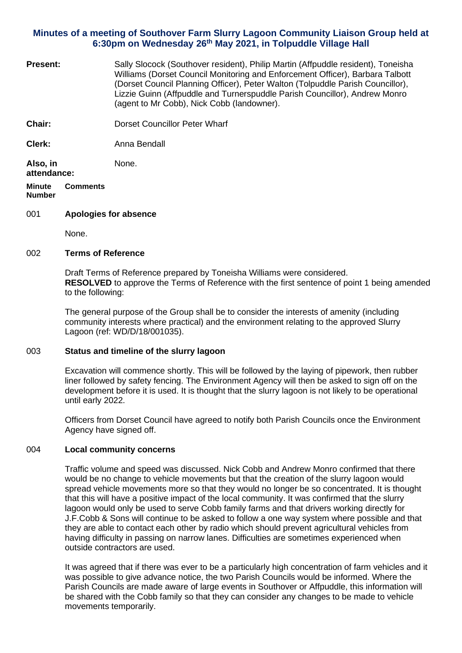# **Minutes of a meeting of Southover Farm Slurry Lagoon Community Liaison Group held at 6:30pm on Wednesday 26th May 2021, in Tolpuddle Village Hall**

**Present:** Sally Slocock (Southover resident), Philip Martin (Affpuddle resident), Toneisha Williams (Dorset Council Monitoring and Enforcement Officer), Barbara Talbott (Dorset Council Planning Officer), Peter Walton (Tolpuddle Parish Councillor), Lizzie Guinn (Affpuddle and Turnerspuddle Parish Councillor), Andrew Monro (agent to Mr Cobb), Nick Cobb (landowner). **Chair:** Dorset Councillor Peter Wharf **Clerk:** Anna Bendall **Also, in attendance:** None. **Minute Number Comments**

### 001 **Apologies for absence**

None.

#### 002 **Terms of Reference**

Draft Terms of Reference prepared by Toneisha Williams were considered. **RESOLVED** to approve the Terms of Reference with the first sentence of point 1 being amended to the following:

The general purpose of the Group shall be to consider the interests of amenity (including community interests where practical) and the environment relating to the approved Slurry Lagoon (ref: WD/D/18/001035).

### 003 **Status and timeline of the slurry lagoon**

Excavation will commence shortly. This will be followed by the laying of pipework, then rubber liner followed by safety fencing. The Environment Agency will then be asked to sign off on the development before it is used. It is thought that the slurry lagoon is not likely to be operational until early 2022.

Officers from Dorset Council have agreed to notify both Parish Councils once the Environment Agency have signed off.

### 004 **Local community concerns**

Traffic volume and speed was discussed. Nick Cobb and Andrew Monro confirmed that there would be no change to vehicle movements but that the creation of the slurry lagoon would spread vehicle movements more so that they would no longer be so concentrated. It is thought that this will have a positive impact of the local community. It was confirmed that the slurry lagoon would only be used to serve Cobb family farms and that drivers working directly for J.F.Cobb & Sons will continue to be asked to follow a one way system where possible and that they are able to contact each other by radio which should prevent agricultural vehicles from having difficulty in passing on narrow lanes. Difficulties are sometimes experienced when outside contractors are used.

It was agreed that if there was ever to be a particularly high concentration of farm vehicles and it was possible to give advance notice, the two Parish Councils would be informed. Where the Parish Councils are made aware of large events in Southover or Affpuddle, this information will be shared with the Cobb family so that they can consider any changes to be made to vehicle movements temporarily.